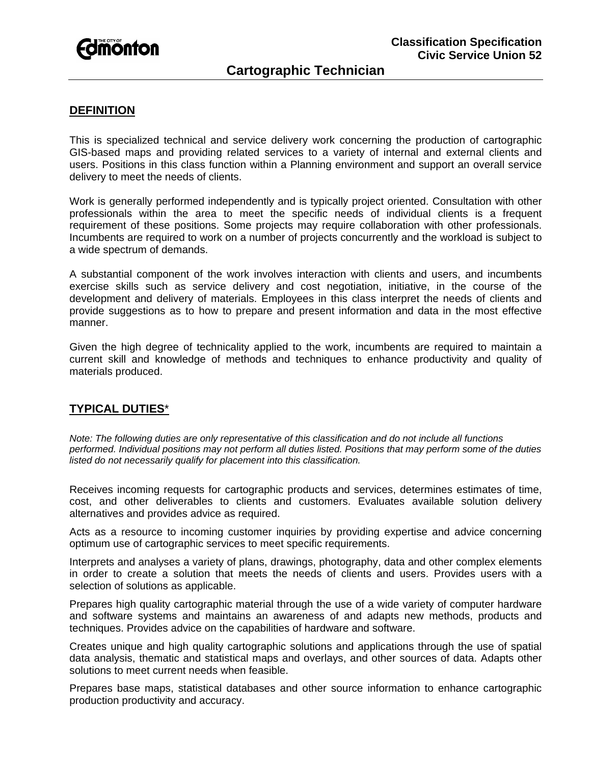

# **Cartographic Technician**

## **DEFINITION**

This is specialized technical and service delivery work concerning the production of cartographic GIS-based maps and providing related services to a variety of internal and external clients and users. Positions in this class function within a Planning environment and support an overall service delivery to meet the needs of clients.

Work is generally performed independently and is typically project oriented. Consultation with other professionals within the area to meet the specific needs of individual clients is a frequent requirement of these positions. Some projects may require collaboration with other professionals. Incumbents are required to work on a number of projects concurrently and the workload is subject to a wide spectrum of demands.

A substantial component of the work involves interaction with clients and users, and incumbents exercise skills such as service delivery and cost negotiation, initiative, in the course of the development and delivery of materials. Employees in this class interpret the needs of clients and provide suggestions as to how to prepare and present information and data in the most effective manner.

Given the high degree of technicality applied to the work, incumbents are required to maintain a current skill and knowledge of methods and techniques to enhance productivity and quality of materials produced.

#### **TYPICAL DUTIES**\*

*Note: The following duties are only representative of this classification and do not include all functions performed. Individual positions may not perform all duties listed. Positions that may perform some of the duties listed do not necessarily qualify for placement into this classification.* 

Receives incoming requests for cartographic products and services, determines estimates of time, cost, and other deliverables to clients and customers. Evaluates available solution delivery alternatives and provides advice as required.

Acts as a resource to incoming customer inquiries by providing expertise and advice concerning optimum use of cartographic services to meet specific requirements.

Interprets and analyses a variety of plans, drawings, photography, data and other complex elements in order to create a solution that meets the needs of clients and users. Provides users with a selection of solutions as applicable.

Prepares high quality cartographic material through the use of a wide variety of computer hardware and software systems and maintains an awareness of and adapts new methods, products and techniques. Provides advice on the capabilities of hardware and software.

Creates unique and high quality cartographic solutions and applications through the use of spatial data analysis, thematic and statistical maps and overlays, and other sources of data. Adapts other solutions to meet current needs when feasible.

Prepares base maps, statistical databases and other source information to enhance cartographic production productivity and accuracy.